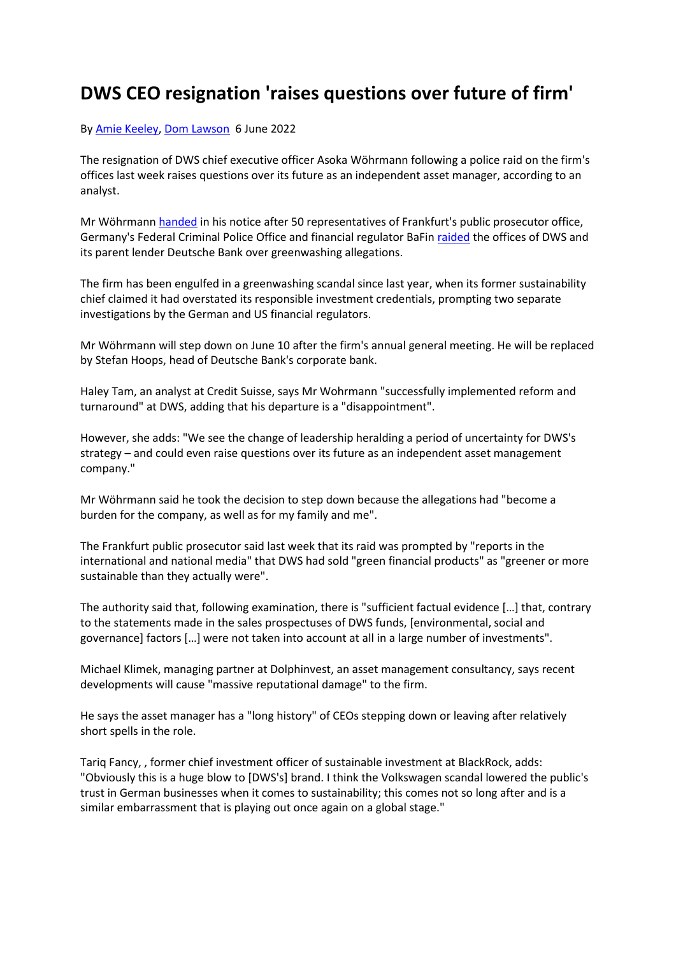## **DWS CEO resignation 'raises questions over future of firm'**

## By [Amie Keeley,](https://fra01.safelinks.protection.outlook.com/?url=https%3A%2F%2Fwww.igniteseurope.com%2Femail-contributor%2F138193%2F3626904%2F465634&data=05%7C01%7Cjames.garbagnati%40indefi.com%7Cdf81feb93ea84c5d379108da4793b676%7Cca3c0267b8ed450984dbadc8ee7793ef%7C0%7C0%7C637900996992074019%7CUnknown%7CTWFpbGZsb3d8eyJWIjoiMC4wLjAwMDAiLCJQIjoiV2luMzIiLCJBTiI6Ik1haWwiLCJXVCI6Mn0%3D%7C3000%7C%7C%7C&sdata=EAJDCkfxRdbNmPUXwfA3gcOD9E6Z8gx4i4Bw1JtbIL8%3D&reserved=0) [Dom Lawson](https://fra01.safelinks.protection.outlook.com/?url=https%3A%2F%2Fwww.igniteseurope.com%2Femail-contributor%2F144084%2F3626904%2F465634&data=05%7C01%7Cjames.garbagnati%40indefi.com%7Cdf81feb93ea84c5d379108da4793b676%7Cca3c0267b8ed450984dbadc8ee7793ef%7C0%7C0%7C637900996992074019%7CUnknown%7CTWFpbGZsb3d8eyJWIjoiMC4wLjAwMDAiLCJQIjoiV2luMzIiLCJBTiI6Ik1haWwiLCJXVCI6Mn0%3D%7C3000%7C%7C%7C&sdata=UtBZzy1XT9IECfRGqr2Rf3uguy71aPv4GOhHFE2bL34%3D&reserved=0) 6 June 2022

The resignation of DWS chief executive officer Asoka Wöhrmann following a police raid on the firm's offices last week raises questions over its future as an independent asset manager, according to an analyst.

Mr Wöhrmann [handed](https://fra01.safelinks.protection.outlook.com/?url=https%3A%2F%2Fwww.igniteseurope.com%2Fc%2F3626144%2F465614%2Fresigns_after_police_raid%3Freferrer_module%3Darticle&data=05%7C01%7Cjames.garbagnati%40indefi.com%7Cdf81feb93ea84c5d379108da4793b676%7Cca3c0267b8ed450984dbadc8ee7793ef%7C0%7C0%7C637900996992074019%7CUnknown%7CTWFpbGZsb3d8eyJWIjoiMC4wLjAwMDAiLCJQIjoiV2luMzIiLCJBTiI6Ik1haWwiLCJXVCI6Mn0%3D%7C3000%7C%7C%7C&sdata=DcbgCuca6tvcqlaotciVNzS08e2SkEAjfnuuA1Wk1Gk%3D&reserved=0) in his notice after 50 representatives of Frankfurt's public prosecutor office, Germany's Federal Criminal Police Office and financial regulator BaFin [raided](https://fra01.safelinks.protection.outlook.com/?url=https%3A%2F%2Fwww.igniteseurope.com%2Fc%2F3624544%2F465734%3Freferrer_module%3Darticle&data=05%7C01%7Cjames.garbagnati%40indefi.com%7Cdf81feb93ea84c5d379108da4793b676%7Cca3c0267b8ed450984dbadc8ee7793ef%7C0%7C0%7C637900996992074019%7CUnknown%7CTWFpbGZsb3d8eyJWIjoiMC4wLjAwMDAiLCJQIjoiV2luMzIiLCJBTiI6Ik1haWwiLCJXVCI6Mn0%3D%7C3000%7C%7C%7C&sdata=C6iwIRPFFiZVNyRGihTc897pa3%2BVQmU%2Fgtp7QZwKyHo%3D&reserved=0) the offices of DWS and its parent lender Deutsche Bank over greenwashing allegations.

The firm has been engulfed in a greenwashing scandal since last year, when its former sustainability chief claimed it had overstated its responsible investment credentials, prompting two separate investigations by the German and US financial regulators.

Mr Wöhrmann will step down on June 10 after the firm's annual general meeting. He will be replaced by Stefan Hoops, head of Deutsche Bank's corporate bank.

Haley Tam, an analyst at Credit Suisse, says Mr Wohrmann "successfully implemented reform and turnaround" at DWS, adding that his departure is a "disappointment".

However, she adds: "We see the change of leadership heralding a period of uncertainty for DWS's strategy – and could even raise questions over its future as an independent asset management company."

Mr Wöhrmann said he took the decision to step down because the allegations had "become a burden for the company, as well as for my family and me".

The Frankfurt public prosecutor said last week that its raid was prompted by "reports in the international and national media" that DWS had sold "green financial products" as "greener or more sustainable than they actually were".

The authority said that, following examination, there is "sufficient factual evidence […] that, contrary to the statements made in the sales prospectuses of DWS funds, [environmental, social and governance] factors […] were not taken into account at all in a large number of investments".

Michael Klimek, managing partner at Dolphinvest, an asset management consultancy, says recent developments will cause "massive reputational damage" to the firm.

He says the asset manager has a "long history" of CEOs stepping down or leaving after relatively short spells in the role.

Tariq Fancy, , former chief investment officer of sustainable investment at BlackRock, adds: "Obviously this is a huge blow to [DWS's] brand. I think the Volkswagen scandal lowered the public's trust in German businesses when it comes to sustainability; this comes not so long after and is a similar embarrassment that is playing out once again on a global stage."